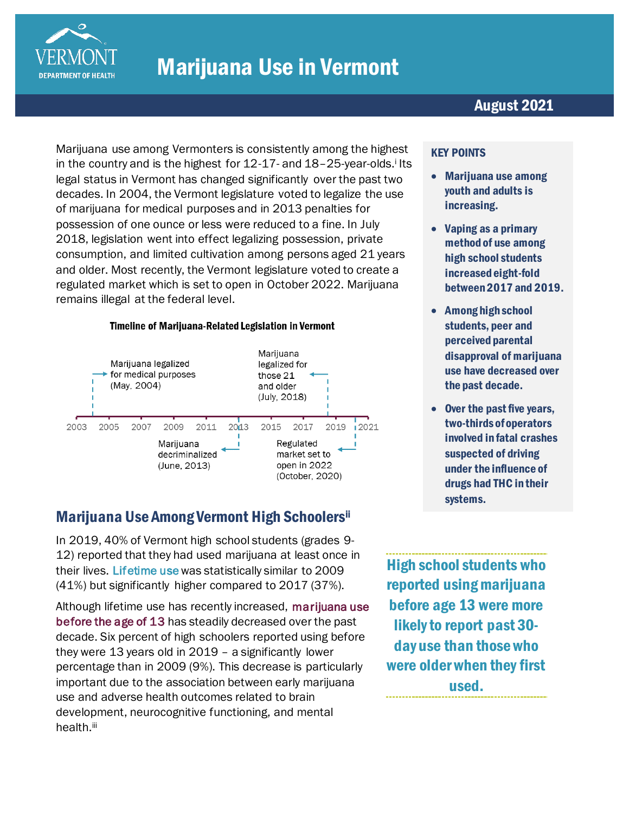

Marijuana use among Vermonters is consistently among the highest in the country and is the highest for 12-17- and 18-25-year-olds.<sup>i</sup> Its legal status in Vermont has changed significantly over the past two decades. In 2004, the Vermont legislature voted to legalize the use of marijuana for medical purposes and in 2013 penalties for possession of one ounce or less were reduced to a fine. In July 2018, legislation went into effect legalizing possession, private consumption, and limited cultivation among persons aged 21 years and older. Most recently, the Vermont legislature voted to create a regulated market which is set to open in October 2022. Marijuana remains illegal at the federal level.

#### Timeline of Marijuana-Related Legislation in Vermont



# Marijuana Use Among Vermont High Schoolersii

In 2019, 40% of Vermont high school students (grades 9- 12) reported that they had used marijuana at least once in their lives. Lifetime use was statistically similar to 2009 (41%) but significantly higher compared to 2017 (37%).

Although lifetime use has recently increased, marijuana use before the age of 13 has steadily decreased over the past decade. Six percent of high schoolers reported using before they were 13 years old in 2019 – a significantly lower percentage than in 2009 (9%). This decrease is particularly important due to the association between early marijuana use and adverse health outcomes related to brain development, neurocognitive functioning, and mental health.<sup>iii</sup>

High school students who reported using marijuana before age 13 were more likely to report past 30 day use than those who were older when they first used.

#### KEY POINTS

- Marijuana use among youth and adults is increasing.
- Vaping as a primary method of use among high school students increased eight-fold between 2017 and 2019.
- Among high school students, peer and perceived parental disapproval of marijuana use have decreased over the past decade.
- Over the past five years, two-thirds of operators involved in fatal crashes suspected of driving under the influence of drugs had THC in their systems.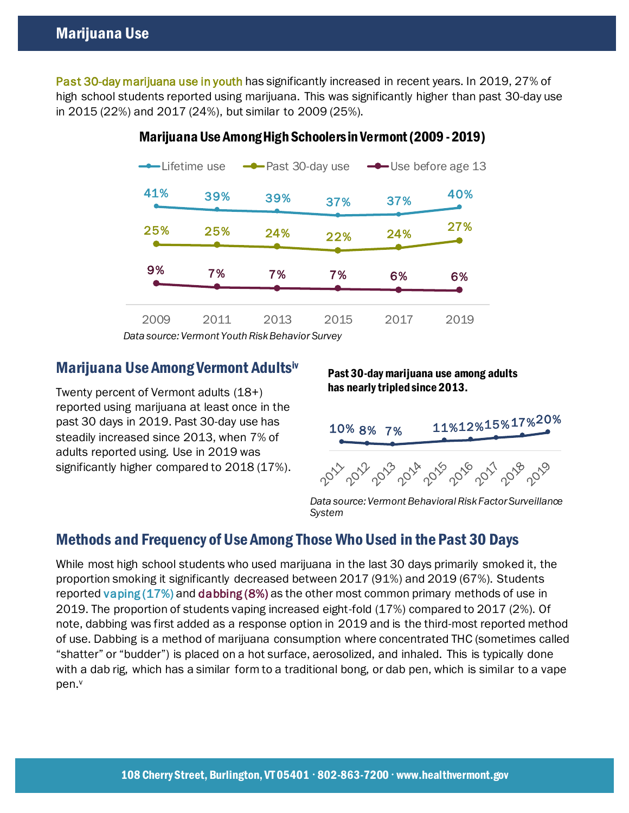Past 30-day marijuana use in youth has significantly increased in recent years. In 2019, 27% of high school students reported using marijuana. This was significantly higher than past 30-day use in 2015 (22%) and 2017 (24%), but similar to 2009 (25%).



## Marijuana Use Among High Schoolers in Vermont (2009 -2019)

*Data source: Vermont Youth Risk Behavior Survey*

## Marijuana Use Among Vermont Adultsiv

Twenty percent of Vermont adults (18+) reported using marijuana at least once in the past 30 days in 2019. Past 30-day use has steadily increased since 2013, when 7% of adults reported using. Use in 2019 was significantly higher compared to 2018 (17%).

#### Past 30-day marijuana use among adults has nearly tripled since 2013.



*Data source: Vermont Behavioral Risk Factor Surveillance System*

# Methods and Frequency of Use Among Those Who Used in the Past 30 Days

While most high school students who used marijuana in the last 30 days primarily smoked it, the proportion smoking it significantly decreased between 2017 (91%) and 2019 (67%). Students reported vaping (17%) and dabbing (8%) as the other most common primary methods of use in 2019. The proportion of students vaping increased eight-fold (17%) compared to 2017 (2%). Of note, dabbing was first added as a response option in 2019 and is the third-most reported method of use. Dabbing is a method of marijuana consumption where concentrated THC (sometimes called "shatter" or "budder") is placed on a hot surface, aerosolized, and inhaled. This is typically done with a dab rig, which has a similar form to a traditional bong, or dab pen, which is similar to a vape pen.<sup>v</sup>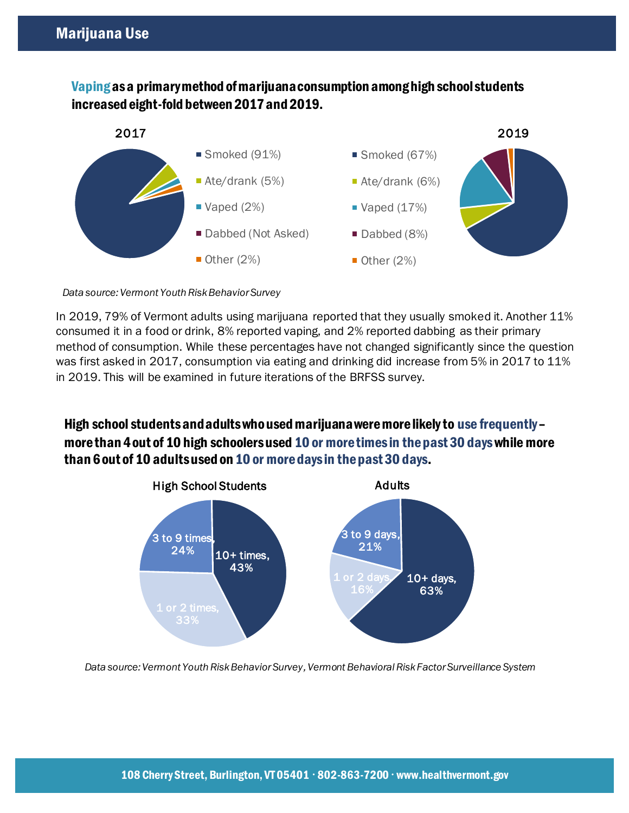## Vapingas a primary method of marijuana consumption among high school students increased eight-fold between 2017 and 2019.



*Data source: Vermont Youth Risk Behavior Survey*

In 2019, 79% of Vermont adults using marijuana reported that they usually smoked it. Another 11% consumed it in a food or drink, 8% reported vaping, and 2% reported dabbing as their primary method of consumption. While these percentages have not changed significantly since the question was first asked in 2017, consumption via eating and drinking did increase from 5% in 2017 to 11% in 2019. This will be examined in future iterations of the BRFSS survey.

High school students and adults who used marijuana were more likely to use frequently– more than 4 out of 10 high schoolers used 10 or more times in the past 30 days while more than 6 out of 10 adults used on 10 or more daysin the past 30 days.



*Data source: Vermont Youth Risk Behavior Survey, Vermont Behavioral Risk Factor Surveillance System*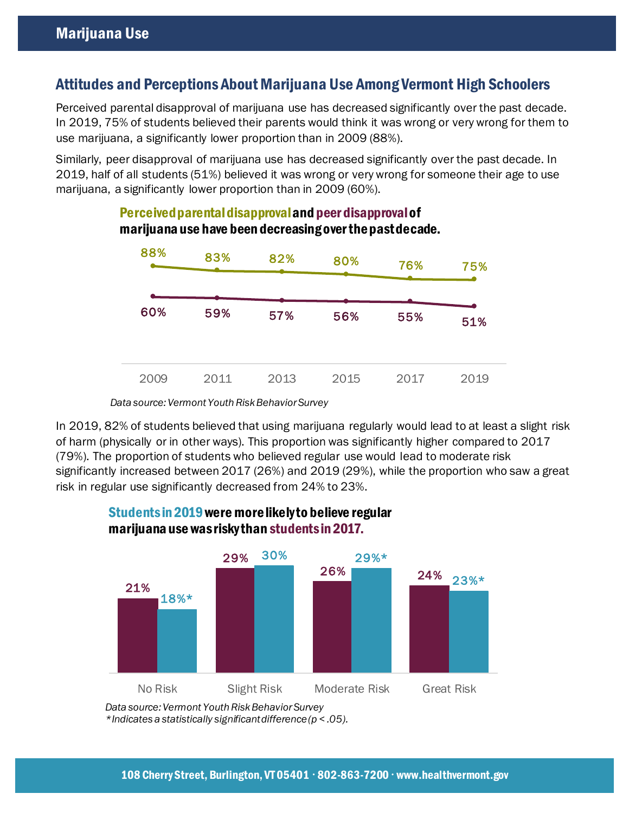## Attitudes and Perceptions About Marijuana Use Among Vermont High Schoolers

Perceived parental disapproval of marijuana use has decreased significantly over the past decade. In 2019, 75% of students believed their parents would think it was wrong or very wrong for them to use marijuana, a significantly lower proportion than in 2009 (88%).

Similarly, peer disapproval of marijuana use has decreased significantly over the past decade. In 2019, half of all students (51%) believed it was wrong or very wrong for someone their age to use marijuana, a significantly lower proportion than in 2009 (60%).



### Perceived parental disapproval and peer disapproval of marijuana use have been decreasing over the past decade.

In 2019, 82% of students believed that using marijuana regularly would lead to at least a slight risk of harm (physically or in other ways). This proportion was significantly higher compared to 2017 (79%). The proportion of students who believed regular use would lead to moderate risk significantly increased between 2017 (26%) and 2019 (29%), while the proportion who saw a great risk in regular use significantly decreased from 24% to 23%.



### Students in 2019were more likely to believe regular marijuana use was risky than students in 2017.

*Data source: Vermont Youth Risk Behavior Survey*

*Data source: Vermont Youth Risk Behavior Survey \*Indicates a statistically significant difference (p < .05).*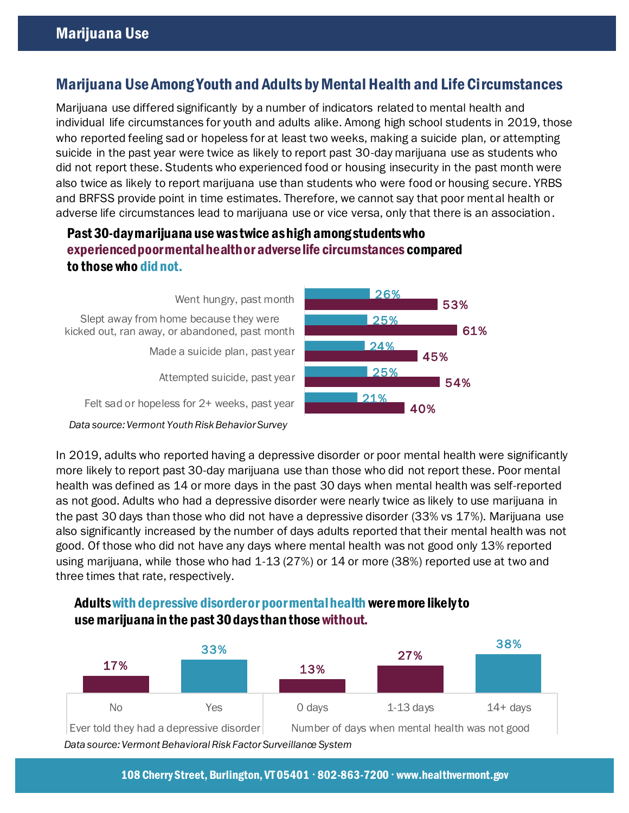## Marijuana Use Among Youth and Adults by Mental Health and Life Circumstances

Marijuana use differed significantly by a number of indicators related to mental health and individual life circumstances for youth and adults alike. Among high school students in 2019, those who reported feeling sad or hopeless for at least two weeks, making a suicide plan, or attempting suicide in the past year were twice as likely to report past 30-day marijuana use as students who did not report these. Students who experienced food or housing insecurity in the past month were also twice as likely to report marijuana use than students who were food or housing secure. YRBS and BRFSS provide point in time estimates. Therefore, we cannot say that poor mental health or adverse life circumstances lead to marijuana use or vice versa, only that there is an association.

## Past 30-day marijuana use was twice as high among students who experienced poor mental health or adverse life circumstances compared to those who did not.

Felt sad or hopeless for 2+ weeks, past year Attempted suicide, past year Made a suicide plan, past year Slept away from home because they were kicked out, ran away, or abandoned, past month Went hungry, past month *Data source: Vermont Youth Risk Behavior Survey*



In 2019, adults who reported having a depressive disorder or poor mental health were significantly more likely to report past 30-day marijuana use than those who did not report these. Poor mental health was defined as 14 or more days in the past 30 days when mental health was self-reported as not good. Adults who had a depressive disorder were nearly twice as likely to use marijuana in the past 30 days than those who did not have a depressive disorder (33% vs 17%). Marijuana use also significantly increased by the number of days adults reported that their mental health was not good. Of those who did not have any days where mental health was not good only 13% reported using marijuana, while those who had 1-13 (27%) or 14 or more (38%) reported use at two and three times that rate, respectively.



# Adultswith depressive disorder or poor mental health were more likely to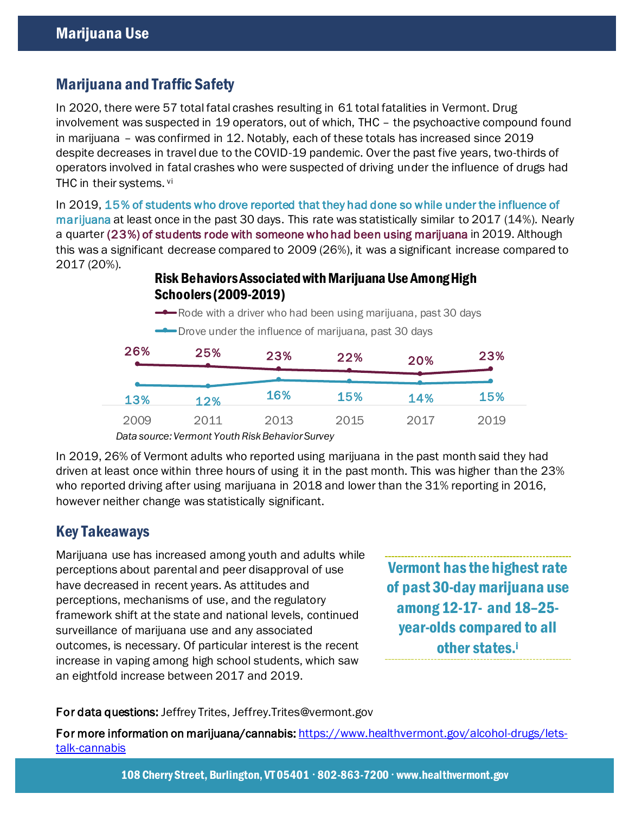# Marijuana and Traffic Safety

In 2020, there were 57 total fatal crashes resulting in 61 total fatalities in Vermont. Drug involvement was suspected in 19 operators, out of which, THC – the psychoactive compound found in marijuana – was confirmed in 12. Notably, each of these totals has increased since 2019 despite decreases in travel due to the COVID-19 pandemic. Over the past five years, two-thirds of operators involved in fatal crashes who were suspected of driving under the influence of drugs had THC in their systems. vi

In 2019, 15% of students who drove reported that they had done so while under the influence of marijuana at least once in the past 30 days. This rate was statistically similar to 2017 (14%). Nearly a quarter (23%) of students rode with someone who had been using marijuana in 2019. Although this was a significant decrease compared to 2009 (26%), it was a significant increase compared to 2017 (20%).

#### Risk Behaviors Associated with Marijuana Use Among High Schoolers (2009-2019)

Rode with a driver who had been using marijuana, past 30 days

**-** Drove under the influence of marijuana, past 30 days

| 26%  | 25%  | 23%  | 22%  | 20%  | 23%  |
|------|------|------|------|------|------|
|      |      |      |      |      |      |
| 13%  | 12%  | 16%  | 15%  | 14%  | 15%  |
| 2009 | 2011 | 2013 | 2015 | 2017 | 2019 |

*Data source: Vermont Youth Risk Behavior Survey*

In 2019, 26% of Vermont adults who reported using marijuana in the past month said they had driven at least once within three hours of using it in the past month. This was higher than the 23% who reported driving after using marijuana in 2018 and lower than the 31% reporting in 2016, however neither change was statistically significant.

# Key Takeaways

Marijuana use has increased among youth and adults while perceptions about parental and peer disapproval of use have decreased in recent years. As attitudes and perceptions, mechanisms of use, and the regulatory framework shift at the state and national levels, continued surveillance of marijuana use and any associated outcomes, is necessary. Of particular interest is the recent increase in vaping among high school students, which saw an eightfold increase between 2017 and 2019.

Vermont has the highest rate of past 30-day marijuana use among 12-17- and 18–25 year-olds compared to all other states.<sup>i</sup>

#### For data questions: Jeffrey Trites, Jeffrey.Trites@vermont.gov

For more information on marijuana/cannabis[: https://www.healthvermont.gov/alcohol-drugs/lets](https://www.healthvermont.gov/alcohol-drugs/lets-talk-cannabis)[talk-cannabis](https://www.healthvermont.gov/alcohol-drugs/lets-talk-cannabis) 

108 Cherry Street, Burlington, VT 05401 · 802-863-7200 · www.healthvermont.gov